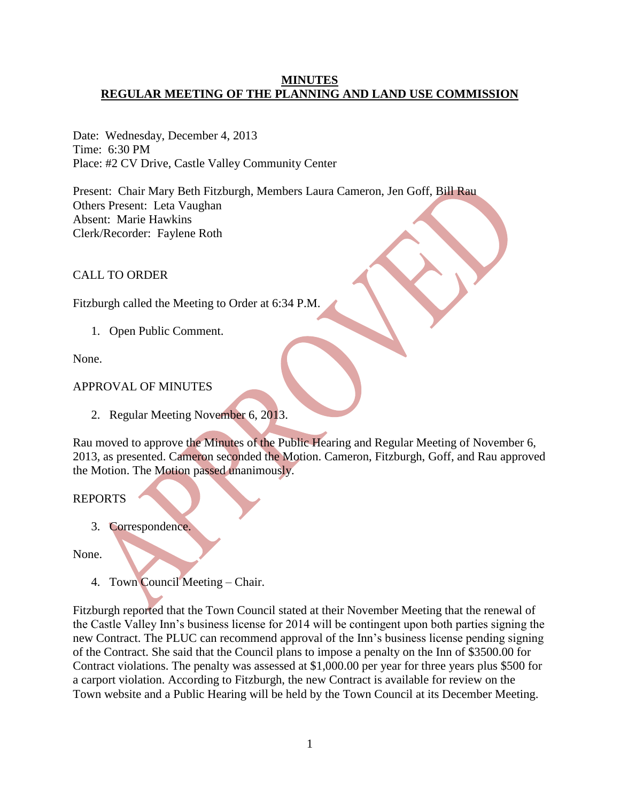### **MINUTES REGULAR MEETING OF THE PLANNING AND LAND USE COMMISSION**

Date: Wednesday, December 4, 2013 Time: 6:30 PM Place: #2 CV Drive, Castle Valley Community Center

Present: Chair Mary Beth Fitzburgh, Members Laura Cameron, Jen Goff, Bill Rau Others Present: Leta Vaughan Absent: Marie Hawkins Clerk/Recorder: Faylene Roth

CALL TO ORDER

Fitzburgh called the Meeting to Order at 6:34 P.M.

1. Open Public Comment.

None.

# APPROVAL OF MINUTES

2. Regular Meeting November 6, 2013.

Rau moved to approve the Minutes of the Public Hearing and Regular Meeting of November 6, 2013, as presented. Cameron seconded the Motion. Cameron, Fitzburgh, Goff, and Rau approved the Motion. The Motion passed unanimously.

## REPORTS

3. Correspondence.

None.

4. Town Council Meeting – Chair.

Fitzburgh reported that the Town Council stated at their November Meeting that the renewal of the Castle Valley Inn's business license for 2014 will be contingent upon both parties signing the new Contract. The PLUC can recommend approval of the Inn's business license pending signing of the Contract. She said that the Council plans to impose a penalty on the Inn of \$3500.00 for Contract violations. The penalty was assessed at \$1,000.00 per year for three years plus \$500 for a carport violation. According to Fitzburgh, the new Contract is available for review on the Town website and a Public Hearing will be held by the Town Council at its December Meeting.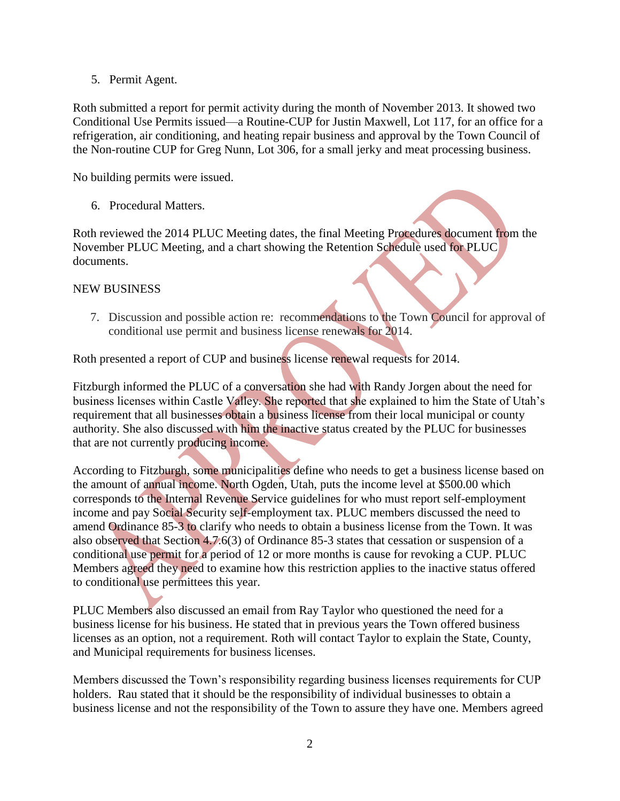5. Permit Agent.

Roth submitted a report for permit activity during the month of November 2013. It showed two Conditional Use Permits issued—a Routine-CUP for Justin Maxwell, Lot 117, for an office for a refrigeration, air conditioning, and heating repair business and approval by the Town Council of the Non-routine CUP for Greg Nunn, Lot 306, for a small jerky and meat processing business.

No building permits were issued.

6. Procedural Matters.

Roth reviewed the 2014 PLUC Meeting dates, the final Meeting Procedures document from the November PLUC Meeting, and a chart showing the Retention Schedule used for PLUC documents.

#### NEW BUSINESS

7. Discussion and possible action re: recommendations to the Town Council for approval of conditional use permit and business license renewals for 2014.

Roth presented a report of CUP and business license renewal requests for 2014.

Fitzburgh informed the PLUC of a conversation she had with Randy Jorgen about the need for business licenses within Castle Valley. She reported that she explained to him the State of Utah's requirement that all businesses obtain a business license from their local municipal or county authority. She also discussed with him the inactive status created by the PLUC for businesses that are not currently producing income.

According to Fitzburgh, some municipalities define who needs to get a business license based on the amount of annual income. North Ogden, Utah, puts the income level at \$500.00 which corresponds to the Internal Revenue Service guidelines for who must report self-employment income and pay Social Security self-employment tax. PLUC members discussed the need to amend Ordinance 85-3 to clarify who needs to obtain a business license from the Town. It was also observed that Section 4.7.6(3) of Ordinance 85-3 states that cessation or suspension of a conditional use permit for a period of 12 or more months is cause for revoking a CUP. PLUC Members agreed they need to examine how this restriction applies to the inactive status offered to conditional use permittees this year.

PLUC Members also discussed an email from Ray Taylor who questioned the need for a business license for his business. He stated that in previous years the Town offered business licenses as an option, not a requirement. Roth will contact Taylor to explain the State, County, and Municipal requirements for business licenses.

Members discussed the Town's responsibility regarding business licenses requirements for CUP holders. Rau stated that it should be the responsibility of individual businesses to obtain a business license and not the responsibility of the Town to assure they have one. Members agreed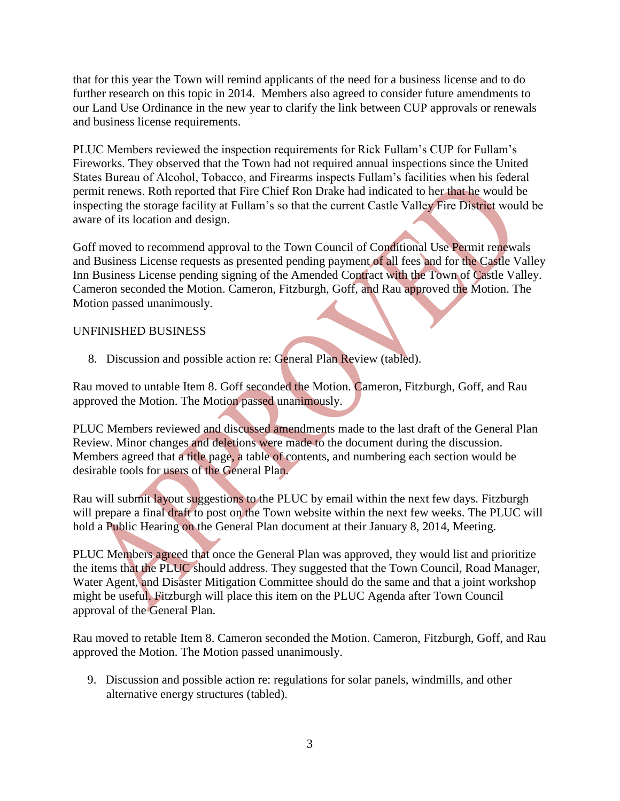that for this year the Town will remind applicants of the need for a business license and to do further research on this topic in 2014. Members also agreed to consider future amendments to our Land Use Ordinance in the new year to clarify the link between CUP approvals or renewals and business license requirements.

PLUC Members reviewed the inspection requirements for Rick Fullam's CUP for Fullam's Fireworks. They observed that the Town had not required annual inspections since the United States Bureau of Alcohol, Tobacco, and Firearms inspects Fullam's facilities when his federal permit renews. Roth reported that Fire Chief Ron Drake had indicated to her that he would be inspecting the storage facility at Fullam's so that the current Castle Valley Fire District would be aware of its location and design.

Goff moved to recommend approval to the Town Council of Conditional Use Permit renewals and Business License requests as presented pending payment of all fees and for the Castle Valley Inn Business License pending signing of the Amended Contract with the Town of Castle Valley. Cameron seconded the Motion. Cameron, Fitzburgh, Goff, and Rau approved the Motion. The Motion passed unanimously.

## UNFINISHED BUSINESS

8. Discussion and possible action re: General Plan Review (tabled).

Rau moved to untable Item 8. Goff seconded the Motion. Cameron, Fitzburgh, Goff, and Rau approved the Motion. The Motion passed unanimously.

PLUC Members reviewed and discussed amendments made to the last draft of the General Plan Review. Minor changes and deletions were made to the document during the discussion. Members agreed that a title page, a table of contents, and numbering each section would be desirable tools for users of the General Plan.

Rau will submit layout suggestions to the PLUC by email within the next few days. Fitzburgh will prepare a final draft to post on the Town website within the next few weeks. The PLUC will hold a Public Hearing on the General Plan document at their January 8, 2014, Meeting.

PLUC Members agreed that once the General Plan was approved, they would list and prioritize the items that the PLUC should address. They suggested that the Town Council, Road Manager, Water Agent, and Disaster Mitigation Committee should do the same and that a joint workshop might be useful. Fitzburgh will place this item on the PLUC Agenda after Town Council approval of the General Plan.

Rau moved to retable Item 8. Cameron seconded the Motion. Cameron, Fitzburgh, Goff, and Rau approved the Motion. The Motion passed unanimously.

9. Discussion and possible action re: regulations for solar panels, windmills, and other alternative energy structures (tabled).